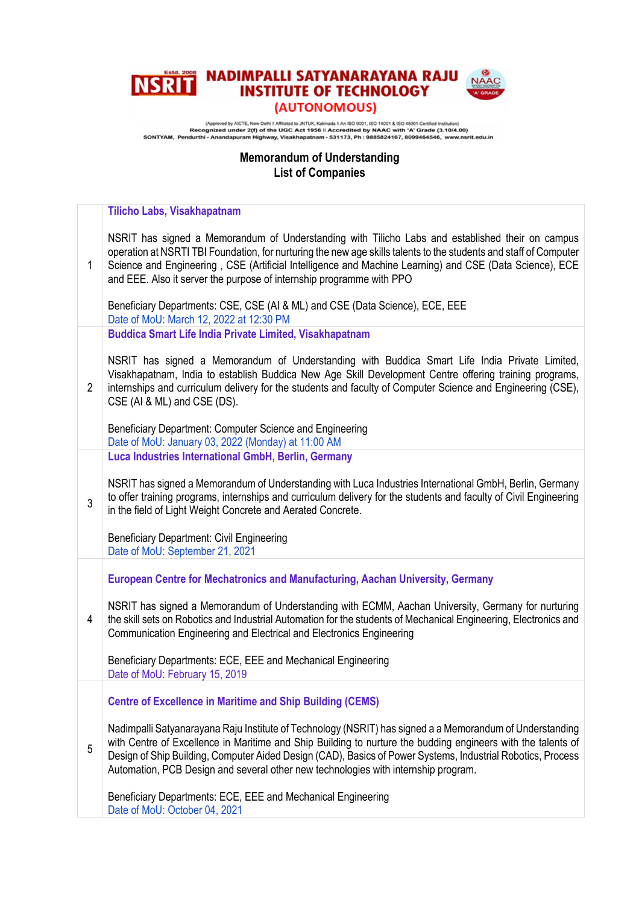## **NADIMPALLI SATYANARAYANA RAJU NAACTER OF TECHNOLOGY NSRIT** (AUTONOMOUS)

(Approved by ACTE, New Delhi II Affileted to JNTUK, Kakinada II An ISO 9001, ISO 14001 & ISO 45001 Certifed Institution)<br>Recognized under 2(f) of the UGC Act 1956 II Accredited by NAAC with 'A' Grade (3.10/4.00)<br>SONTYAM,

## **Memorandum of Understanding List of Companies**

|                | Tilicho Labs, Visakhapatnam                                                                                                                                                                                                                                                                                                                                                                                                   |
|----------------|-------------------------------------------------------------------------------------------------------------------------------------------------------------------------------------------------------------------------------------------------------------------------------------------------------------------------------------------------------------------------------------------------------------------------------|
| $\mathbf{1}$   | NSRIT has signed a Memorandum of Understanding with Tilicho Labs and established their on campus<br>operation at NSRTI TBI Foundation, for nurturing the new age skills talents to the students and staff of Computer<br>Science and Engineering, CSE (Artificial Intelligence and Machine Learning) and CSE (Data Science), ECE<br>and EEE. Also it server the purpose of internship programme with PPO                      |
|                | Beneficiary Departments: CSE, CSE (AI & ML) and CSE (Data Science), ECE, EEE<br>Date of MoU: March 12, 2022 at 12:30 PM                                                                                                                                                                                                                                                                                                       |
|                | <b>Buddica Smart Life India Private Limited, Visakhapatnam</b>                                                                                                                                                                                                                                                                                                                                                                |
| $\overline{2}$ | NSRIT has signed a Memorandum of Understanding with Buddica Smart Life India Private Limited,<br>Visakhapatnam, India to establish Buddica New Age Skill Development Centre offering training programs,<br>internships and curriculum delivery for the students and faculty of Computer Science and Engineering (CSE),<br>CSE (AI & ML) and CSE (DS).                                                                         |
|                | Beneficiary Department: Computer Science and Engineering<br>Date of MoU: January 03, 2022 (Monday) at 11:00 AM                                                                                                                                                                                                                                                                                                                |
|                | Luca Industries International GmbH, Berlin, Germany                                                                                                                                                                                                                                                                                                                                                                           |
| 3              | NSRIT has signed a Memorandum of Understanding with Luca Industries International GmbH, Berlin, Germany<br>to offer training programs, internships and curriculum delivery for the students and faculty of Civil Engineering<br>in the field of Light Weight Concrete and Aerated Concrete.                                                                                                                                   |
|                | <b>Beneficiary Department: Civil Engineering</b><br>Date of MoU: September 21, 2021                                                                                                                                                                                                                                                                                                                                           |
|                | European Centre for Mechatronics and Manufacturing, Aachan University, Germany                                                                                                                                                                                                                                                                                                                                                |
| 4              | NSRIT has signed a Memorandum of Understanding with ECMM, Aachan University, Germany for nurturing<br>the skill sets on Robotics and Industrial Automation for the students of Mechanical Engineering, Electronics and<br>Communication Engineering and Electrical and Electronics Engineering                                                                                                                                |
|                | Beneficiary Departments: ECE, EEE and Mechanical Engineering<br>Date of MoU: February 15, 2019                                                                                                                                                                                                                                                                                                                                |
| 5              | <b>Centre of Excellence in Maritime and Ship Building (CEMS)</b>                                                                                                                                                                                                                                                                                                                                                              |
|                | Nadimpalli Satyanarayana Raju Institute of Technology (NSRIT) has signed a a Memorandum of Understanding<br>with Centre of Excellence in Maritime and Ship Building to nurture the budding engineers with the talents of<br>Design of Ship Building, Computer Aided Design (CAD), Basics of Power Systems, Industrial Robotics, Process<br>Automation, PCB Design and several other new technologies with internship program. |
|                | Beneficiary Departments: ECE, EEE and Mechanical Engineering<br>Date of MoU: October 04, 2021                                                                                                                                                                                                                                                                                                                                 |